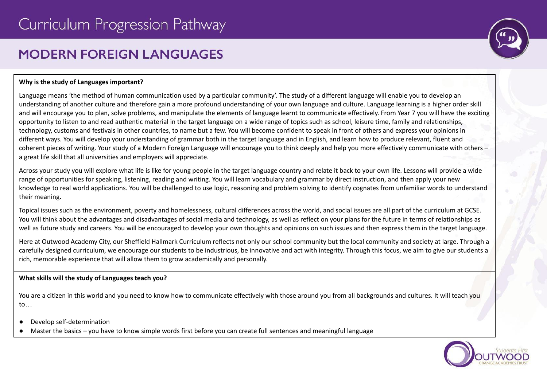# **MODERN FORFIGN I ANGUAGES**



## **Why is the study of Languages important?**

Language means 'the method of human communication used by a particular community'. The study of a different language will enable you to develop an understanding of another culture and therefore gain a more profound understanding of your own language and culture. Language learning is a higher order skill and will encourage you to plan, solve problems, and manipulate the elements of language learnt to communicate effectively. From Year 7 you will have the exciting opportunity to listen to and read authentic material in the target language on a wide range of topics such as school, leisure time, family and relationships, technology, customs and festivals in other countries, to name but a few. You will become confident to speak in front of others and express your opinions in different ways. You will develop your understanding of grammar both in the target language and in English, and learn how to produce relevant, fluent and coherent pieces of writing. Your study of a Modern Foreign Language will encourage you to think deeply and help you more effectively communicate with others – a great life skill that all universities and employers will appreciate.

Across your study you will explore what life is like for young people in the target language country and relate it back to your own life. Lessons will provide a wide range of opportunities for speaking, listening, reading and writing. You will learn vocabulary and grammar by direct instruction, and then apply your new knowledge to real world applications. You will be challenged to use logic, reasoning and problem solving to identify cognates from unfamiliar words to understand their meaning.

Topical issues such as the environment, poverty and homelessness, cultural differences across the world, and social issues are all part of the curriculum at GCSE. You will think about the advantages and disadvantages of social media and technology, as well as reflect on your plans for the future in terms of relationships as well as future study and careers. You will be encouraged to develop your own thoughts and opinions on such issues and then express them in the target language.

Here at Outwood Academy City, our Sheffield Hallmark Curriculum reflects not only our school community but the local community and society at large. Through a carefully designed curriculum, we encourage our students to be industrious, be innovative and act with integrity. Through this focus, we aim to give our students a rich, memorable experience that will allow them to grow academically and personally.

# **What skills will the study of Languages teach you?**

You are a citizen in this world and you need to know how to communicate effectively with those around you from all backgrounds and cultures. It will teach you to…

- Develop self-determination
- Master the basics you have to know simple words first before you can create full sentences and meaningful language

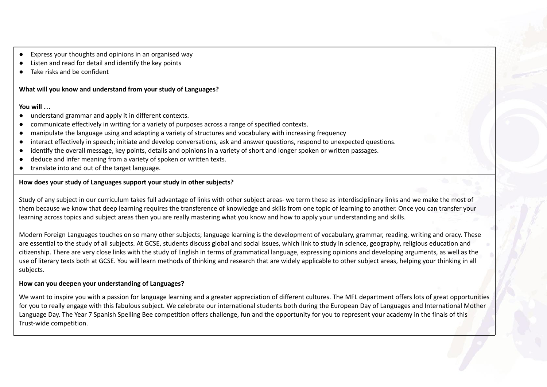- Express your thoughts and opinions in an organised way
- Listen and read for detail and identify the key points
- Take risks and be confident

## **What will you know and understand from your study of Languages?**

## **You will …**

- understand grammar and apply it in different contexts.
- communicate effectively in writing for a variety of purposes across a range of specified contexts.
- manipulate the language using and adapting a variety of structures and vocabulary with increasing frequency
- interact effectively in speech; initiate and develop conversations, ask and answer questions, respond to unexpected questions.
- identify the overall message, key points, details and opinions in a variety of short and longer spoken or written passages.
- deduce and infer meaning from a variety of spoken or written texts.
- translate into and out of the target language.

# **How does your study of Languages support your study in other subjects?**

Study of any subject in our curriculum takes full advantage of links with other subject areas- we term these as interdisciplinary links and we make the most of them because we know that deep learning requires the transference of knowledge and skills from one topic of learning to another. Once you can transfer your learning across topics and subject areas then you are really mastering what you know and how to apply your understanding and skills.

Modern Foreign Languages touches on so many other subjects; language learning is the development of vocabulary, grammar, reading, writing and oracy. These are essential to the study of all subjects. At GCSE, students discuss global and social issues, which link to study in science, geography, religious education and citizenship. There are very close links with the study of English in terms of grammatical language, expressing opinions and developing arguments, as well as the use of literary texts both at GCSE. You will learn methods of thinking and research that are widely applicable to other subject areas, helping your thinking in all subjects.

# **How can you deepen your understanding of Languages?**

We want to inspire you with a passion for language learning and a greater appreciation of different cultures. The MFL department offers lots of great opportunities for you to really engage with this fabulous subject. We celebrate our international students both during the European Day of Languages and International Mother Language Day. The Year 7 Spanish Spelling Bee competition offers challenge, fun and the opportunity for you to represent your academy in the finals of this Trust-wide competition.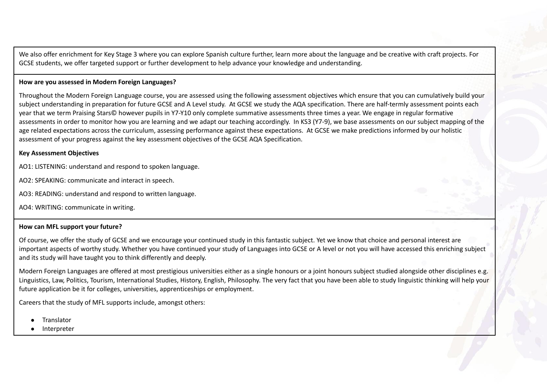We also offer enrichment for Key Stage 3 where you can explore Spanish culture further, learn more about the language and be creative with craft projects. For GCSE students, we offer targeted support or further development to help advance your knowledge and understanding.

#### **How are you assessed in Modern Foreign Languages?**

Throughout the Modern Foreign Language course, you are assessed using the following assessment objectives which ensure that you can cumulatively build your subject understanding in preparation for future GCSE and A Level study. At GCSE we study the AQA specification. There are half-termly assessment points each year that we term Praising Stars© however pupils in Y7-Y10 only complete summative assessments three times a year. We engage in regular formative assessments in order to monitor how you are learning and we adapt our teaching accordingly. In KS3 (Y7-9), we base assessments on our subject mapping of the age related expectations across the curriculum, assessing performance against these expectations. At GCSE we make predictions informed by our holistic assessment of your progress against the key assessment objectives of the GCSE AQA Specification.

#### **Key Assessment Objectives**

AO1: LISTENING: understand and respond to spoken language.

AO2: SPEAKING: communicate and interact in speech.

AO3: READING: understand and respond to written language.

AO4: WRITING: communicate in writing.

#### **How can MFL support your future?**

Of course, we offer the study of GCSE and we encourage your continued study in this fantastic subject. Yet we know that choice and personal interest are important aspects of worthy study. Whether you have continued your study of Languages into GCSE or A level or not you will have accessed this enriching subject and its study will have taught you to think differently and deeply.

Modern Foreign Languages are offered at most prestigious universities either as a single honours or a joint honours subject studied alongside other disciplines e.g. Linguistics, Law, Politics, Tourism, International Studies, History, English, Philosophy. The very fact that you have been able to study linguistic thinking will help your future application be it for colleges, universities, apprenticeships or employment.

Careers that the study of MFL supports include, amongst others:

- **Translator**
- **Interpreter**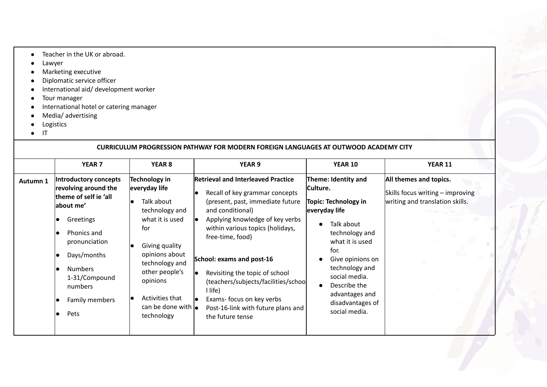- Teacher in the UK or abroad.
- Lawyer
- Marketing executive
- Diplomatic service officer
- International aid/ development worker
- Tour manager
- International hotel or catering manager
- Media/ advertising
- Logistics
- IT

| CURRICULUM PROGRESSION PATHWAY FOR MODERN FOREIGN LANGUAGES AT OUTWOOD ACADEMY CITY |                                                                                                                                                                                                                         |                                                                                                                                                                                                                                                     |                                                                                                                                                                                                                                                                                                                                                                                                                                                                  |                                                                                                                                                                                                                                                                   |                                                                                               |
|-------------------------------------------------------------------------------------|-------------------------------------------------------------------------------------------------------------------------------------------------------------------------------------------------------------------------|-----------------------------------------------------------------------------------------------------------------------------------------------------------------------------------------------------------------------------------------------------|------------------------------------------------------------------------------------------------------------------------------------------------------------------------------------------------------------------------------------------------------------------------------------------------------------------------------------------------------------------------------------------------------------------------------------------------------------------|-------------------------------------------------------------------------------------------------------------------------------------------------------------------------------------------------------------------------------------------------------------------|-----------------------------------------------------------------------------------------------|
|                                                                                     | YEAR <sub>7</sub>                                                                                                                                                                                                       | YEAR <sub>8</sub>                                                                                                                                                                                                                                   | <b>YEAR 9</b>                                                                                                                                                                                                                                                                                                                                                                                                                                                    | <b>YEAR 10</b>                                                                                                                                                                                                                                                    | <b>YEAR 11</b>                                                                                |
| Autumn 1                                                                            | Introductory concepts<br>revolving around the<br>theme of self ie 'all<br>about me'<br>Greetings<br>Phonics and<br>pronunciation<br>Days/months<br><b>Numbers</b><br>1-31/Compound<br>numbers<br>Family members<br>Pets | Technology in<br>everyday life<br>Talk about<br>technology and<br>what it is used<br>for<br>Giving quality<br>opinions about<br>technology and<br>other people's<br>opinions<br>Activities that<br>can be done with $\vert_{\bullet}$<br>technology | <b>Retrieval and Interleaved Practice</b><br>Recall of key grammar concepts<br>lo<br>(present, past, immediate future<br>and conditional)<br>Applying knowledge of key verbs<br>lo<br>within various topics (holidays,<br>free-time, food)<br>School: exams and post-16<br>Revisiting the topic of school<br>le.<br>(teachers/subjects/facilities/school<br>I life)<br>Exams- focus on key verbs<br>le<br>Post-16-link with future plans and<br>the future tense | Theme: Identity and<br>Culture.<br>Topic: Technology in<br>everyday life<br>Talk about<br>technology and<br>what it is used<br>for.<br>Give opinions on<br>technology and<br>social media.<br>Describe the<br>advantages and<br>disadvantages of<br>social media. | All themes and topics.<br>Skills focus writing - improving<br>writing and translation skills. |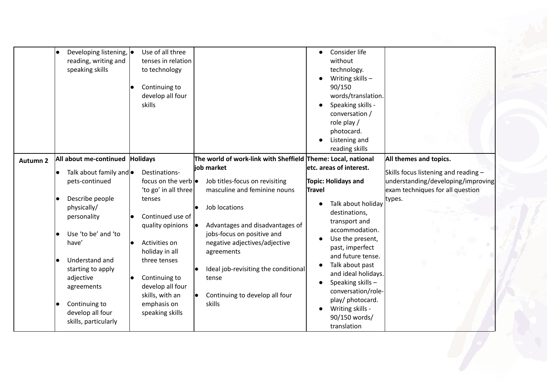|                 | Developing listening, $\bullet$<br>reading, writing and<br>speaking skills | Use of all three<br>tenses in relation<br>to technology<br>Continuing to<br>develop all four<br>skills |                                                                            | Consider life<br>without<br>technology.<br>Writing skills $-$<br>90/150<br>words/translation.<br>Speaking skills -<br>conversation /<br>role play /<br>photocard.<br>Listening and<br>reading skills |                                                                        |
|-----------------|----------------------------------------------------------------------------|--------------------------------------------------------------------------------------------------------|----------------------------------------------------------------------------|------------------------------------------------------------------------------------------------------------------------------------------------------------------------------------------------------|------------------------------------------------------------------------|
| <b>Autumn 2</b> | All about me-continued<br>Talk about family and $\bullet$                  | <b>Holidays</b><br>Destinations-                                                                       | The world of work-link with Sheffield Theme: Local, national<br>job market | etc. areas of interest.                                                                                                                                                                              | All themes and topics.<br>Skills focus listening and reading -         |
|                 | pets-continued                                                             | focus on the verb $\bullet$<br>'to go' in all three                                                    | Job titles-focus on revisiting<br>masculine and feminine nouns             | <b>Topic: Holidays and</b><br><b>Travel</b>                                                                                                                                                          | understanding/developing/improving<br>exam techniques for all question |
|                 | Describe people<br>physically/<br>personality                              | tenses<br>Continued use of<br>quality opinions $  \bullet  $                                           | Job locations<br>Advantages and disadvantages of                           | Talk about holiday<br>destinations,<br>transport and                                                                                                                                                 | types.                                                                 |
|                 | Use 'to be' and 'to<br>have'                                               | Activities on<br>holiday in all                                                                        | jobs-focus on positive and<br>negative adjectives/adjective<br>agreements  | accommodation.<br>Use the present,<br>past, imperfect<br>and future tense.                                                                                                                           |                                                                        |
|                 | Understand and<br>starting to apply<br>adjective<br>agreements             | three tenses<br>Continuing to<br>develop all four                                                      | Ideal job-revisiting the conditional<br>tense                              | Talk about past<br>and ideal holidays.<br>Speaking skills -<br>conversation/role-                                                                                                                    |                                                                        |
|                 | Continuing to<br>develop all four<br>skills, particularly                  | skills, with an<br>emphasis on<br>speaking skills                                                      | Continuing to develop all four<br>skills                                   | play/ photocard.<br>Writing skills -<br>90/150 words/<br>translation                                                                                                                                 |                                                                        |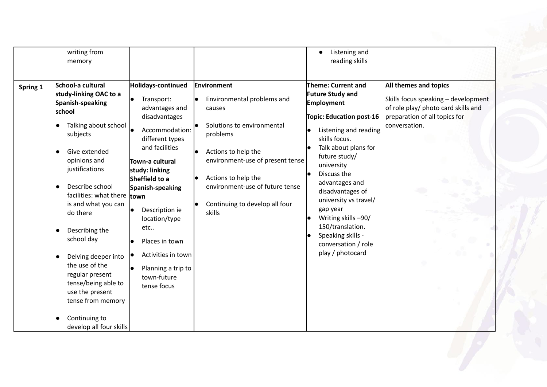|          | writing from<br>memory                                                                                                                                                                                                                                                                                                                                                                                                                                  |                                                                                                                                                                                                                                                                                                                                                                                                   |                                                                                                                                                                                                                                                                | Listening and<br>$\bullet$<br>reading skills                                                                                                                                                                                                                                                                                                                                                                       |                                                                                                                                                              |
|----------|---------------------------------------------------------------------------------------------------------------------------------------------------------------------------------------------------------------------------------------------------------------------------------------------------------------------------------------------------------------------------------------------------------------------------------------------------------|---------------------------------------------------------------------------------------------------------------------------------------------------------------------------------------------------------------------------------------------------------------------------------------------------------------------------------------------------------------------------------------------------|----------------------------------------------------------------------------------------------------------------------------------------------------------------------------------------------------------------------------------------------------------------|--------------------------------------------------------------------------------------------------------------------------------------------------------------------------------------------------------------------------------------------------------------------------------------------------------------------------------------------------------------------------------------------------------------------|--------------------------------------------------------------------------------------------------------------------------------------------------------------|
| Spring 1 | School-a cultural<br>study-linking OAC to a<br>Spanish-speaking<br>school<br>Talking about school<br>subjects<br>Give extended<br>opinions and<br>justifications<br>Describe school<br>facilities: what there<br>is and what you can<br>do there<br>Describing the<br>school day<br>Delving deeper into<br>the use of the<br>regular present<br>tense/being able to<br>use the present<br>tense from memory<br>Continuing to<br>develop all four skills | Holidays-continued<br>Transport:<br>$\bullet$<br>advantages and<br>disadvantages<br>le<br>Accommodation:<br>different types<br>and facilities<br>Town-a cultural<br>study: linking<br>Sheffield to a<br>Spanish-speaking<br><b>Itown</b><br>Description ie<br>$\bullet$<br>location/type<br>etc<br>Places in town<br>Activities in town<br>lo<br>Planning a trip to<br>town-future<br>tense focus | Environment<br>Environmental problems and<br>causes<br>Solutions to environmental<br>problems<br>Actions to help the<br>environment-use of present tense<br>Actions to help the<br>environment-use of future tense<br>Continuing to develop all four<br>skills | <b>Theme: Current and</b><br><b>Future Study and</b><br><b>Employment</b><br><b>Topic: Education post-16</b><br>Listening and reading<br>skills focus.<br>Talk about plans for<br>future study/<br>university<br>Discuss the<br>advantages and<br>disadvantages of<br>university vs travel/<br>gap year<br>Writing skills -90/<br>150/translation.<br>Speaking skills -<br>conversation / role<br>play / photocard | <b>All themes and topics</b><br>Skills focus speaking - development<br>of role play/ photo card skills and<br>preparation of all topics for<br>conversation. |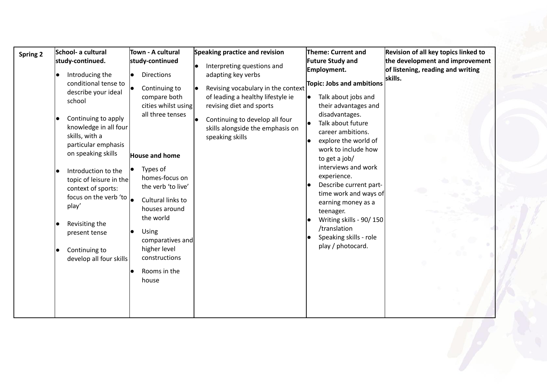| <b>Spring 2</b> | School- a cultural<br>study-continued.<br>Introducing the<br>$\bullet$<br>conditional tense to<br>describe your ideal<br>school<br>Continuing to apply<br>knowledge in all four<br>skills, with a<br>particular emphasis<br>on speaking skills<br>Introduction to the<br>topic of leisure in the<br>context of sports:<br>focus on the verb 'to $\vert$<br>play'<br>Revisiting the<br>present tense<br>Continuing to<br>develop all four skills | Town - A cultural<br>study-continued<br><b>Directions</b><br>Continuing to<br>compare both<br>cities whilst using<br>all three tenses<br><b>House and home</b><br>Types of<br>homes-focus on<br>the verb 'to live'<br>Cultural links to<br>houses around<br>the world<br><b>Using</b><br>comparatives and<br>higher level<br>constructions<br>Rooms in the<br>house | Speaking practice and revision<br>Interpreting questions and<br>adapting key verbs<br>Revising vocabulary in the context<br>of leading a healthy lifestyle ie<br>revising diet and sports<br>Continuing to develop all four<br>skills alongside the emphasis on<br>speaking skills | Theme: Current and<br><b>Future Study and</b><br>Employment.<br>Topic: Jobs and ambitions<br>Talk about jobs and<br>their advantages and<br>disadvantages.<br>Talk about future<br>career ambitions.<br>explore the world of<br>work to include how<br>to get a job/<br>interviews and work<br>experience.<br>Describe current part-<br>time work and ways of<br>earning money as a<br>teenager.<br>Writing skills - 90/150<br>/translation<br>Speaking skills - role<br>play / photocard. | Revision of all key topics linked to<br>the development and improvement<br>of listening, reading and writing<br>skills. |
|-----------------|-------------------------------------------------------------------------------------------------------------------------------------------------------------------------------------------------------------------------------------------------------------------------------------------------------------------------------------------------------------------------------------------------------------------------------------------------|---------------------------------------------------------------------------------------------------------------------------------------------------------------------------------------------------------------------------------------------------------------------------------------------------------------------------------------------------------------------|------------------------------------------------------------------------------------------------------------------------------------------------------------------------------------------------------------------------------------------------------------------------------------|--------------------------------------------------------------------------------------------------------------------------------------------------------------------------------------------------------------------------------------------------------------------------------------------------------------------------------------------------------------------------------------------------------------------------------------------------------------------------------------------|-------------------------------------------------------------------------------------------------------------------------|
|-----------------|-------------------------------------------------------------------------------------------------------------------------------------------------------------------------------------------------------------------------------------------------------------------------------------------------------------------------------------------------------------------------------------------------------------------------------------------------|---------------------------------------------------------------------------------------------------------------------------------------------------------------------------------------------------------------------------------------------------------------------------------------------------------------------------------------------------------------------|------------------------------------------------------------------------------------------------------------------------------------------------------------------------------------------------------------------------------------------------------------------------------------|--------------------------------------------------------------------------------------------------------------------------------------------------------------------------------------------------------------------------------------------------------------------------------------------------------------------------------------------------------------------------------------------------------------------------------------------------------------------------------------------|-------------------------------------------------------------------------------------------------------------------------|